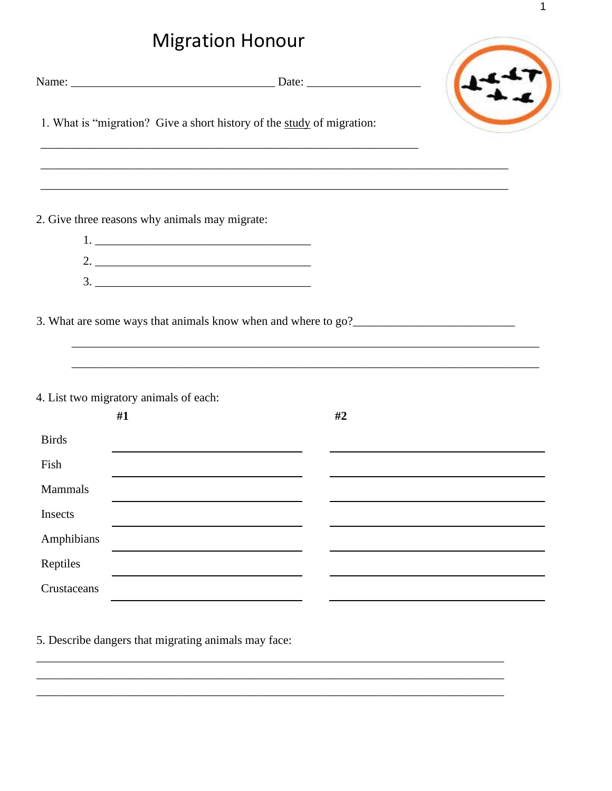## **Migration Honour**

| <u>iviigration Honour</u> |                                                                                                                                                             |    |  |
|---------------------------|-------------------------------------------------------------------------------------------------------------------------------------------------------------|----|--|
|                           |                                                                                                                                                             |    |  |
|                           | 1. What is "migration? Give a short history of the study of migration:<br>,我们也不能在这里的人,我们也不能在这里的人,我们也不能在这里的人,我们也不能在这里的人,我们也不能在这里的人,我们也不能在这里的人,我们也不能在这里的人,我们也 |    |  |
|                           | 2. Give three reasons why animals may migrate:                                                                                                              |    |  |
|                           |                                                                                                                                                             |    |  |
|                           |                                                                                                                                                             |    |  |
|                           |                                                                                                                                                             |    |  |
|                           |                                                                                                                                                             |    |  |
|                           | 4. List two migratory animals of each:                                                                                                                      |    |  |
|                           | #1                                                                                                                                                          | #2 |  |
| <b>Birds</b>              |                                                                                                                                                             |    |  |
| Fish                      |                                                                                                                                                             |    |  |
| Mammals                   |                                                                                                                                                             |    |  |
| Insects                   |                                                                                                                                                             |    |  |
| Amphibians                |                                                                                                                                                             |    |  |
| Reptiles                  |                                                                                                                                                             |    |  |
| Crustaceans               |                                                                                                                                                             |    |  |

5. Describe dangers that migrating animals may face: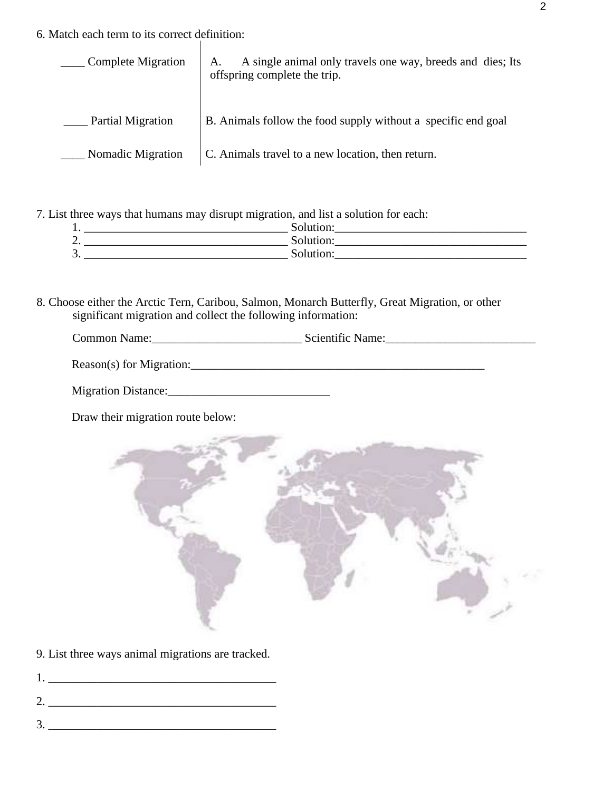6. Match each term to its correct definition:

| Complete Migration | A single animal only travels one way, breeds and dies; Its<br>A.<br>offspring complete the trip. |
|--------------------|--------------------------------------------------------------------------------------------------|
| Partial Migration  | B. Animals follow the food supply without a specific end goal                                    |
| Nomadic Migration  | C. Animals travel to a new location, then return.                                                |

7. List three ways that humans may disrupt migration, and list a solution for each:

| л.       | $\sim$ olutio $r$ |
|----------|-------------------|
| ◠<br>ـ ت | Solution:         |
| 3.       | Solution          |

8. Choose either the Arctic Tern, Caribou, Salmon, Monarch Butterfly, Great Migration, or other significant migration and collect the following information:

| $\sim$       | Scientific L      |
|--------------|-------------------|
| Common Name: | Name <sup>.</sup> |
|              |                   |
|              | .                 |
|              |                   |

| Reason(s) for Migration: |  |  |
|--------------------------|--|--|
|                          |  |  |

| <b>Migration Distance:</b> |  |
|----------------------------|--|
|----------------------------|--|

Draw their migration route below:



9. List three ways animal migrations are tracked.

- 1. \_\_\_\_\_\_\_\_\_\_\_\_\_\_\_\_\_\_\_\_\_\_\_\_\_\_\_\_\_\_\_\_\_\_\_\_\_\_
- 2. \_\_\_\_\_\_\_\_\_\_\_\_\_\_\_\_\_\_\_\_\_\_\_\_\_\_\_\_\_\_\_\_\_\_\_\_\_\_
- 3. \_\_\_\_\_\_\_\_\_\_\_\_\_\_\_\_\_\_\_\_\_\_\_\_\_\_\_\_\_\_\_\_\_\_\_\_\_\_